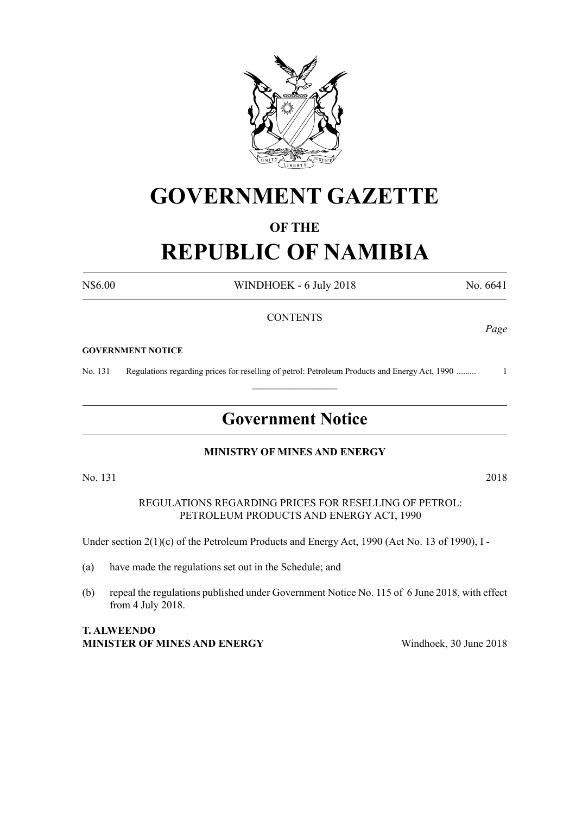

# **GOVERNMENT GAZETTE**

## **OF THE**

# **REPUBLIC OF NAMIBIA**

N\$6.00 WINDHOEK - 6 July 2018 No. 6641

### **CONTENTS**

#### **GOVERNMENT NOTICE**

No. 131 Regulations regarding prices for reselling of petrol: Petroleum Products and Energy Act, 1990 ......... 1

### **Government Notice**

 $\frac{1}{2}$ 

### **MINISTRY OF MINES AND ENERGY**

No. 131 2018

REGULATIONS REGARDING PRICES FOR RESELLING OF PETROL: PETROLEUM PRODUCTS AND ENERGY ACT, 1990

Under section 2(1)(c) of the Petroleum Products and Energy Act, 1990 (Act No. 13 of 1990), I -

- (a) have made the regulations set out in the Schedule; and
- (b) repeal the regulations published under Government Notice No. 115 of 6 June 2018, with effect from 4 July 2018.

### **T. ALWEENDO MINISTER OF MINES AND ENERGY** Windhoek, 30 June 2018

*Page*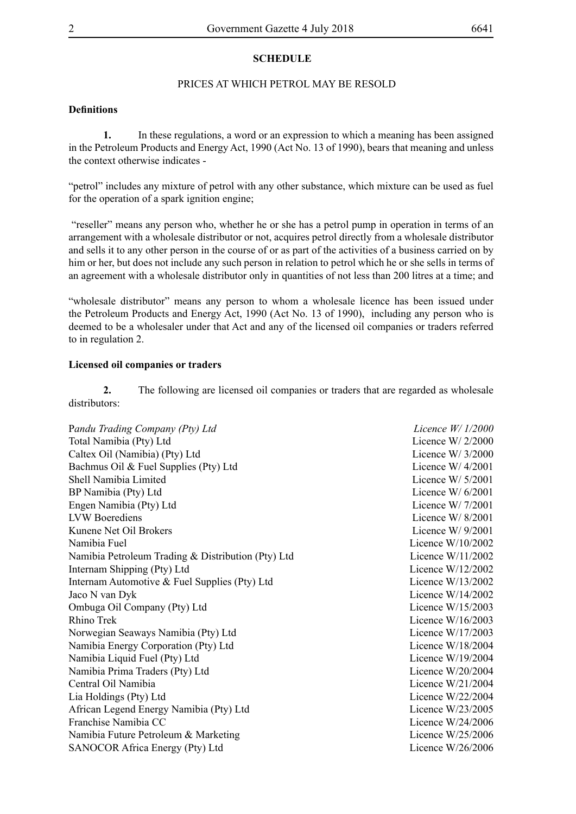#### **SCHEDULE**

#### PRICES AT WHICH PETROL MAY BE RESOLD

#### **Definitions**

**1.** In these regulations, a word or an expression to which a meaning has been assigned in the Petroleum Products and Energy Act, 1990 (Act No. 13 of 1990), bears that meaning and unless the context otherwise indicates -

"petrol" includes any mixture of petrol with any other substance, which mixture can be used as fuel for the operation of a spark ignition engine;

 "reseller" means any person who, whether he or she has a petrol pump in operation in terms of an arrangement with a wholesale distributor or not, acquires petrol directly from a wholesale distributor and sells it to any other person in the course of or as part of the activities of a business carried on by him or her, but does not include any such person in relation to petrol which he or she sells in terms of an agreement with a wholesale distributor only in quantities of not less than 200 litres at a time; and

"wholesale distributor" means any person to whom a wholesale licence has been issued under the Petroleum Products and Energy Act, 1990 (Act No. 13 of 1990), including any person who is deemed to be a wholesaler under that Act and any of the licensed oil companies or traders referred to in regulation 2.

#### **Licensed oil companies or traders**

**2.** The following are licensed oil companies or traders that are regarded as wholesale distributors:

| Pandu Trading Company (Pty) Ltd                    | Licence $W/1/2000$  |
|----------------------------------------------------|---------------------|
| Total Namibia (Pty) Ltd                            | Licence W/ $2/2000$ |
| Caltex Oil (Namibia) (Pty) Ltd                     | Licence W/ $3/2000$ |
| Bachmus Oil & Fuel Supplies (Pty) Ltd              | Licence W/ $4/2001$ |
| Shell Namibia Limited                              | Licence W/ $5/2001$ |
| BP Namibia (Pty) Ltd                               | Licence W/ $6/2001$ |
| Engen Namibia (Pty) Ltd                            | Licence W/ $7/2001$ |
| <b>LVW</b> Boerediens                              | Licence W/ $8/2001$ |
| Kunene Net Oil Brokers                             | Licence W/ $9/2001$ |
| Namibia Fuel                                       | Licence $W/10/2002$ |
| Namibia Petroleum Trading & Distribution (Pty) Ltd | Licence W/11/2002   |
| Internam Shipping (Pty) Ltd                        | Licence $W/12/2002$ |
| Internam Automotive & Fuel Supplies (Pty) Ltd      | Licence $W/13/2002$ |
| Jaco N van Dyk                                     | Licence $W/14/2002$ |
| Ombuga Oil Company (Pty) Ltd                       | Licence $W/15/2003$ |
| Rhino Trek                                         | Licence $W/16/2003$ |
| Norwegian Seaways Namibia (Pty) Ltd                | Licence $W/17/2003$ |
| Namibia Energy Corporation (Pty) Ltd               | Licence $W/18/2004$ |
| Namibia Liquid Fuel (Pty) Ltd                      | Licence $W/19/2004$ |
| Namibia Prima Traders (Pty) Ltd                    | Licence $W/20/2004$ |
| Central Oil Namibia                                | Licence $W/21/2004$ |
| Lia Holdings (Pty) Ltd                             | Licence $W/22/2004$ |
| African Legend Energy Namibia (Pty) Ltd            | Licence W/23/2005   |
| Franchise Namibia CC                               | Licence $W/24/2006$ |
| Namibia Future Petroleum & Marketing               | Licence $W/25/2006$ |
| SANOCOR Africa Energy (Pty) Ltd                    | Licence $W/26/2006$ |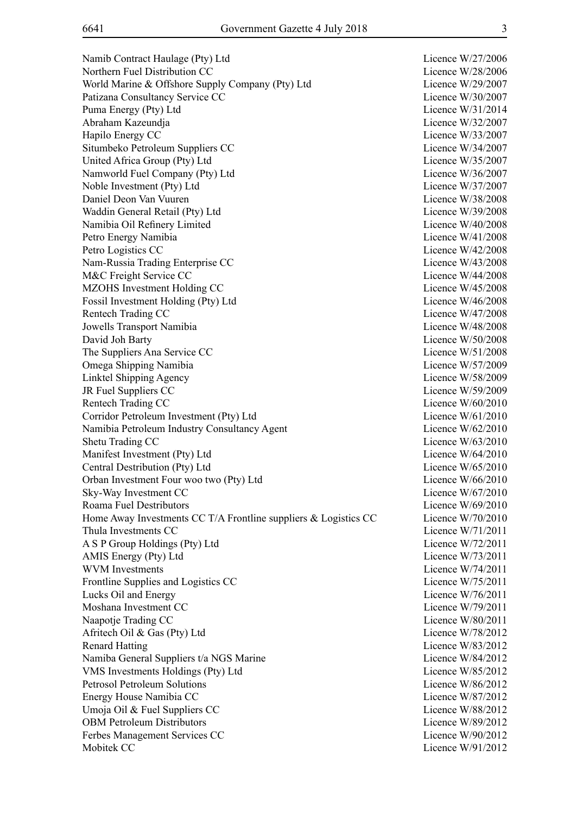Namib Contract Haulage (Pty) Ltd Licence W/27/2006 Northern Fuel Distribution CC and Licence W/28/2006 World Marine & Offshore Supply Company (Pty) Ltd Licence W/29/2007 Patizana Consultancy Service CC and the CO Licence W/30/2007 Puma Energy (Pty) Ltd Licence W/31/2014 Abraham Kazeundja Licence W/32/2007 Hapilo Energy CC Licence W/33/2007 Situmbeko Petroleum Suppliers CC Licence W/34/2007 United Africa Group (Pty) Ltd Licence W/35/2007 Namworld Fuel Company (Pty) Ltd Licence W/36/2007 Noble Investment (Pty) Ltd Licence W/37/2007 Daniel Deon Van Vuuren Licence W/38/2008 Waddin General Retail (Pty) Ltd Licence W/39/2008 Namibia Oil Refinery Limited Licence W/40/2008 Petro Energy Namibia Licence W/41/2008 Petro Logistics CC Licence W/42/2008 Nam-Russia Trading Enterprise CC Licence W/43/2008 M&C Freight Service CC Licence W/44/2008 MZOHS Investment Holding CC Licence W/45/2008 Fossil Investment Holding (Pty) Ltd Licence W/46/2008 Rentech Trading CC Licence W/47/2008 Jowells Transport Namibia Licence W/48/2008 David Joh Barty Licence W/50/2008 The Suppliers Ana Service CC Licence W/51/2008 Omega Shipping Namibia Licence W/57/2009 Linktel Shipping Agency Licence W/58/2009 JR Fuel Suppliers CC Licence W/59/2009 Rentech Trading CC Licence W/60/2010 Corridor Petroleum Investment (Pty) Ltd Licence W/61/2010 Namibia Petroleum Industry Consultancy Agent Licence W/62/2010 Shetu Trading CC Licence W/63/2010 Manifest Investment (Pty) Ltd Licence W/64/2010 Central Destribution (Pty) Ltd Licence W/65/2010 Orban Investment Four woo two (Pty) Ltd Licence W/66/2010 Sky-Way Investment CC Licence W/67/2010 Roama Fuel Destributors **Roama** Fuel Destributors **Licence W**/69/2010 Home Away Investments CC T/A Frontline suppliers & Logistics CC Licence W/70/2010 Thula Investments CC Licence W/71/2011 A S P Group Holdings (Pty) Ltd Licence W/72/2011 AMIS Energy (Pty) Ltd Licence W/73/2011 WVM Investments Licence W/74/2011 Frontline Supplies and Logistics CC Licence W/75/2011 Lucks Oil and Energy Licence W/76/2011 Moshana Investment CC and the contract of the contract of the Licence W/79/2011 Naapotje Trading CC Licence W/80/2011 Afritech Oil & Gas (Pty) Ltd Licence W/78/2012 Renard Hatting Licence W/83/2012 Namiba General Suppliers t/a NGS Marine Licence W/84/2012 VMS Investments Holdings (Pty) Ltd Licence W/85/2012 Petrosol Petroleum Solutions and the test of the Licence W/86/2012 Energy House Namibia CC and the Company of the Licence W/87/2012 Umoja Oil & Fuel Suppliers CC Licence W/88/2012 OBM Petroleum Distributors Licence W/89/2012 Ferbes Management Services CC and the Contract Contract Contract Contract Contract Contract Contract Contract Contract Contract Contract Contract Contract Contract Contract Contract Contract Contract Contract Contract Cont Mobitek CC Licence W/91/2012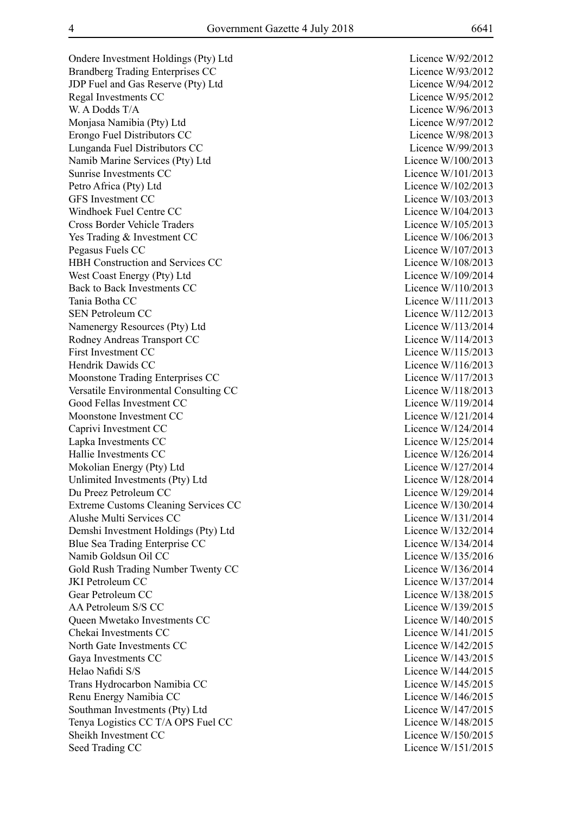Ondere Investment Holdings (Pty) Ltd Licence W/92/2012 Brandberg Trading Enterprises CC Licence W/93/2012 JDP Fuel and Gas Reserve (Pty) Ltd Licence W/94/2012 Regal Investments CC Licence W/95/2012 W. A Dodds T/A Licence W/96/2013 Monjasa Namibia (Pty) Ltd Licence W/97/2012 Erongo Fuel Distributors CC Licence W/98/2013 Lunganda Fuel Distributors CC Licence W/99/2013 Namib Marine Services (Pty) Ltd Licence W/100/2013 Sunrise Investments CC and the CO and the Countries of the Licence W/101/2013 Petro Africa (Pty) Ltd Licence W/102/2013 GFS Investment CC Licence W/103/2013 Windhoek Fuel Centre CC and the Communication of the Licence W/104/2013 Cross Border Vehicle Traders Licence W/105/2013 Yes Trading & Investment CC Licence W/106/2013 Pegasus Fuels CC Licence W/107/2013 HBH Construction and Services CC Licence W/108/2013 West Coast Energy (Pty) Ltd Licence W/109/2014 Back to Back Investments CC Licence W/110/2013 Tania Botha CC Licence W/111/2013 SEN Petroleum CC Licence W/112/2013 Namenergy Resources (Pty) Ltd Licence W/113/2014 Rodney Andreas Transport CC Licence W/114/2013 First Investment CC Licence W/115/2013 Hendrik Dawids CC and the Company of the Company of the Licence W/116/2013 Moonstone Trading Enterprises CC Licence W/117/2013 Versatile Environmental Consulting CC Licence W/118/2013 Good Fellas Investment CC Licence W/119/2014 Moonstone Investment CC and the CO licence W/121/2014 Caprivi Investment CC Licence W/124/2014 Lapka Investments CC Licence W/125/2014 Hallie Investments CC Licence W/126/2014 Mokolian Energy (Pty) Ltd Licence W/127/2014 Unlimited Investments (Pty) Ltd Licence W/128/2014 Du Preez Petroleum CC Licence W/129/2014 Extreme Customs Cleaning Services CC Licence W/130/2014 Alushe Multi Services CC and the Contract of the Licence W/131/2014 Demshi Investment Holdings (Pty) Ltd Licence W/132/2014 Blue Sea Trading Enterprise CC Licence W/134/2014 Namib Goldsun Oil CC and the Contract of the Contract of the Licence W/135/2016 Gold Rush Trading Number Twenty CC Licence W/136/2014 JKI Petroleum CC Licence W/137/2014 Gear Petroleum CC Licence W/138/2015 AA Petroleum S/S CC Licence W/139/2015 Queen Mwetako Investments CC and the CO Licence W/140/2015 Chekai Investments CC and the contract of the contract of the Licence W/141/2015 North Gate Investments CC Licence W/142/2015 Gaya Investments CC Licence W/143/2015 Helao Nafidi S/S Licence W/144/2015 Trans Hydrocarbon Namibia CC Licence W/145/2015 Renu Energy Namibia CC and the Contract of the Contract Contract Contract Contract Contract Contract Contract Contract Contract Contract Contract Contract Contract Contract Contract Contract Contract Contract Contract Cont Southman Investments (Pty) Ltd Licence W/147/2015 Tenya Logistics CC T/A OPS Fuel CC Licence W/148/2015 Sheikh Investment CC Licence W/150/2015 Seed Trading CC Licence W/151/2015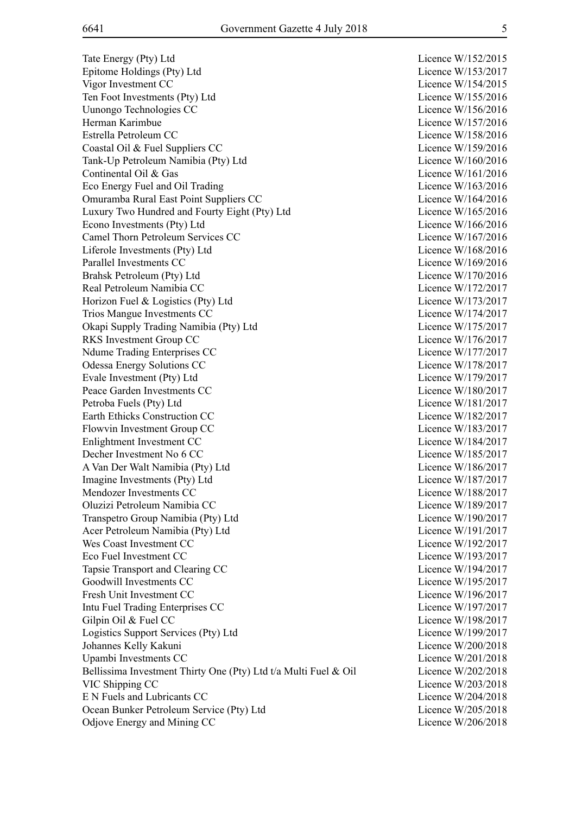Tate Energy (Pty) Ltd Epitome Holdings (Pty) Ltd Vigor Investment CC Ten Foot Investments (Pty) Ltd Uunongo Technologies CC Herman Karimbue Estrella Petroleum CC Coastal Oil & Fuel Suppliers CC Tank-Up Petroleum Namibia (Pty) Ltd Continental Oil & Gas Eco Energy Fuel and Oil Trading Omuramba Rural East Point Suppliers CC Luxury Two Hundred and Fourty Eight (Pty) Ltd Econo Investments (Pty) Ltd Camel Thorn Petroleum Services CC Liferole Investments (Ptv) Ltd Parallel Investments CC Brahsk Petroleum (Pty) Ltd Real Petroleum Namibia CC Horizon Fuel & Logistics (Pty) Ltd Trios Mangue Investments CC Okapi Supply Trading Namibia (Pty) Ltd RKS Investment Group CC Ndume Trading Enterprises CC Odessa Energy Solutions CC Evale Investment (Pty) Ltd Peace Garden Investments CC Petroba Fuels (Pty) Ltd Earth Ethicks Construction CC Flowvin Investment Group CC Enlightment Investment CC Decher Investment No 6 CC A Van Der Walt Namibia (Pty) Ltd Imagine Investments (Pty) Ltd Mendozer Investments CC Oluzizi Petroleum Namibia CC Transpetro Group Namibia (Pty) Ltd Acer Petroleum Namibia (Pty) Ltd Wes Coast Investment CC Eco Fuel Investment CC Tapsie Transport and Clearing CC Goodwill Investments CC Fresh Unit Investment CC Intu Fuel Trading Enterprises CC Gilpin Oil  $&$  Fuel CC Logistics Support Services (Pty) Ltd Johannes Kelly Kakuni Upambi Investments CC Bellissima Investment Thirty One (Pty) Ltd t/a Multi Fuel & Oil VIC Shipping CC E N Fuels and Lubricants CC Ocean Bunker Petroleum Service (Pty) Ltd Odjove Energy and Mining CC

| Licence W/152/2015    |
|-----------------------|
| Licence W/153/2017    |
|                       |
| Licence W/154/2015    |
| Licence W/155/2016    |
| Licence W/156/2016    |
| Licence W/157/2016    |
| Licence W/158/2016    |
| Licence W/159/2016    |
|                       |
| Licence W/160/2016    |
| Licence W/161/2016    |
| Licence W/163/2016    |
| Licence W/164/2016    |
| Licence W/165/2016    |
| Licence W/166/2016    |
|                       |
| Licence W/167/2016    |
| Licence W/168/2016    |
| Licence W/169/2016    |
| Licence W/170/2016    |
| Licence W/172/2017    |
| Licence W/173/2017    |
|                       |
| Licence W/174/2017    |
| Licence W/175/2017    |
| Licence W/176/2017    |
| Licence W/177/2017    |
| Licence W/178/2017    |
| Licence W/179/2017    |
|                       |
| Licence W/180/2017    |
| Licence W/181/2017    |
| Licence W/182/2017    |
| Licence W/183/2017    |
| Licence W/184/2017    |
| Licence W/185/2017    |
| Licence W/186/2017    |
|                       |
| Licence W/187/2017    |
| Licence W/188/2017    |
| Licence W/189/2017    |
| Licence<br>W/190/2017 |
| Licence<br>W/191/2017 |
| Licence<br>W/192/2017 |
| W/193/2017            |
| Licence               |
| W/194/2017<br>Licence |
| Licence<br>W/195/2017 |
| W/196/2017<br>Licence |
| Licence<br>W/197/2017 |
| W/198/2017<br>Licence |
| W/199/2017<br>Licence |
|                       |
| Licence<br>W/200/2018 |
| W/201/2018<br>Licence |
| Licence<br>W/202/2018 |
| Licence W/203/2018    |
| Licence W/204/2018    |
| Licence W/205/2018    |
| Licence W/206/2018    |
|                       |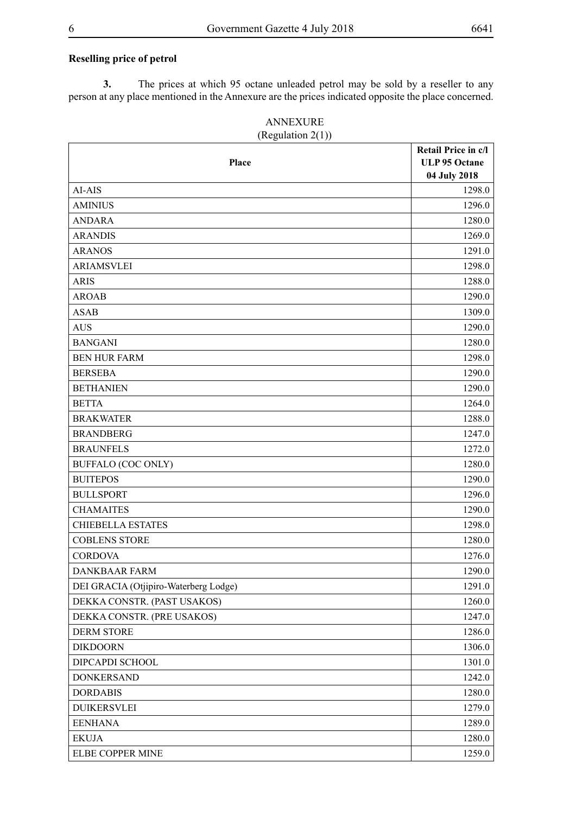#### **Reselling price of petrol**

**3.** The prices at which 95 octane unleaded petrol may be sold by a reseller to any person at any place mentioned in the Annexure are the prices indicated opposite the place concerned.

| Place                                 | Retail Price in c/l<br><b>ULP 95 Octane</b><br>04 July 2018 |
|---------------------------------------|-------------------------------------------------------------|
| AI-AIS                                | 1298.0                                                      |
| <b>AMINIUS</b>                        | 1296.0                                                      |
| <b>ANDARA</b>                         | 1280.0                                                      |
| <b>ARANDIS</b>                        | 1269.0                                                      |
| <b>ARANOS</b>                         | 1291.0                                                      |
| <b>ARIAMSVLEI</b>                     | 1298.0                                                      |
| <b>ARIS</b>                           | 1288.0                                                      |
| <b>AROAB</b>                          | 1290.0                                                      |
| <b>ASAB</b>                           | 1309.0                                                      |
| <b>AUS</b>                            | 1290.0                                                      |
| <b>BANGANI</b>                        | 1280.0                                                      |
| <b>BEN HUR FARM</b>                   | 1298.0                                                      |
| <b>BERSEBA</b>                        | 1290.0                                                      |
| <b>BETHANIEN</b>                      | 1290.0                                                      |
| <b>BETTA</b>                          | 1264.0                                                      |
| <b>BRAKWATER</b>                      | 1288.0                                                      |
| <b>BRANDBERG</b>                      | 1247.0                                                      |
| <b>BRAUNFELS</b>                      | 1272.0                                                      |
| <b>BUFFALO (COC ONLY)</b>             | 1280.0                                                      |
| <b>BUITEPOS</b>                       | 1290.0                                                      |
| <b>BULLSPORT</b>                      | 1296.0                                                      |
| <b>CHAMAITES</b>                      | 1290.0                                                      |
| <b>CHIEBELLA ESTATES</b>              | 1298.0                                                      |
| <b>COBLENS STORE</b>                  | 1280.0                                                      |
| <b>CORDOVA</b>                        | 1276.0                                                      |
| <b>DANKBAAR FARM</b>                  | 1290.0                                                      |
| DEI GRACIA (Otjipiro-Waterberg Lodge) | 1291.0                                                      |
| DEKKA CONSTR. (PAST USAKOS)           | 1260.0                                                      |
| DEKKA CONSTR. (PRE USAKOS)            | 1247.0                                                      |
| <b>DERM STORE</b>                     | 1286.0                                                      |
| <b>DIKDOORN</b>                       | 1306.0                                                      |
| DIPCAPDI SCHOOL                       | 1301.0                                                      |
| <b>DONKERSAND</b>                     | 1242.0                                                      |
| <b>DORDABIS</b>                       | 1280.0                                                      |
| <b>DUIKERSVLEI</b>                    | 1279.0                                                      |
| <b>EENHANA</b>                        | 1289.0                                                      |
| <b>EKUJA</b>                          | 1280.0                                                      |
| ELBE COPPER MINE                      | 1259.0                                                      |

#### ANNEXURE  $($ Regulation  $2(1)$ )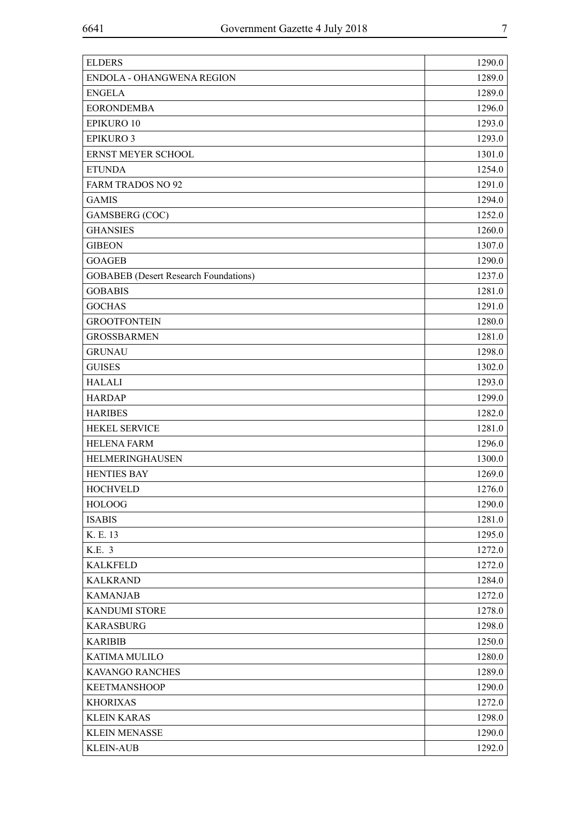| <b>ELDERS</b>                                | 1290.0 |
|----------------------------------------------|--------|
| ENDOLA - OHANGWENA REGION                    | 1289.0 |
| <b>ENGELA</b>                                | 1289.0 |
| <b>EORONDEMBA</b>                            | 1296.0 |
| <b>EPIKURO 10</b>                            | 1293.0 |
| <b>EPIKURO 3</b>                             | 1293.0 |
| ERNST MEYER SCHOOL                           | 1301.0 |
| <b>ETUNDA</b>                                | 1254.0 |
| <b>FARM TRADOS NO 92</b>                     | 1291.0 |
| <b>GAMIS</b>                                 | 1294.0 |
| GAMSBERG (COC)                               | 1252.0 |
| <b>GHANSIES</b>                              | 1260.0 |
| <b>GIBEON</b>                                | 1307.0 |
| <b>GOAGEB</b>                                | 1290.0 |
| <b>GOBABEB</b> (Desert Research Foundations) | 1237.0 |
| <b>GOBABIS</b>                               | 1281.0 |
| <b>GOCHAS</b>                                | 1291.0 |
| <b>GROOTFONTEIN</b>                          | 1280.0 |
| <b>GROSSBARMEN</b>                           | 1281.0 |
| <b>GRUNAU</b>                                | 1298.0 |
| <b>GUISES</b>                                | 1302.0 |
| <b>HALALI</b>                                | 1293.0 |
| <b>HARDAP</b>                                | 1299.0 |
| <b>HARIBES</b>                               | 1282.0 |
| <b>HEKEL SERVICE</b>                         | 1281.0 |
| <b>HELENA FARM</b>                           | 1296.0 |
| HELMERINGHAUSEN                              | 1300.0 |
| <b>HENTIES BAY</b>                           | 1269.0 |
| <b>HOCHVELD</b>                              | 1276.0 |
| <b>HOLOOG</b>                                | 1290.0 |
| <b>ISABIS</b>                                | 1281.0 |
| K. E. 13                                     | 1295.0 |
| K.E. 3                                       | 1272.0 |
| <b>KALKFELD</b>                              | 1272.0 |
| <b>KALKRAND</b>                              | 1284.0 |
| <b>KAMANJAB</b>                              | 1272.0 |
| <b>KANDUMI STORE</b>                         | 1278.0 |
| <b>KARASBURG</b>                             | 1298.0 |
| <b>KARIBIB</b>                               | 1250.0 |
| <b>KATIMA MULILO</b>                         | 1280.0 |
| KAVANGO RANCHES                              | 1289.0 |
| <b>KEETMANSHOOP</b>                          | 1290.0 |
| <b>KHORIXAS</b>                              | 1272.0 |
| <b>KLEIN KARAS</b>                           | 1298.0 |
| <b>KLEIN MENASSE</b>                         | 1290.0 |
| <b>KLEIN-AUB</b>                             | 1292.0 |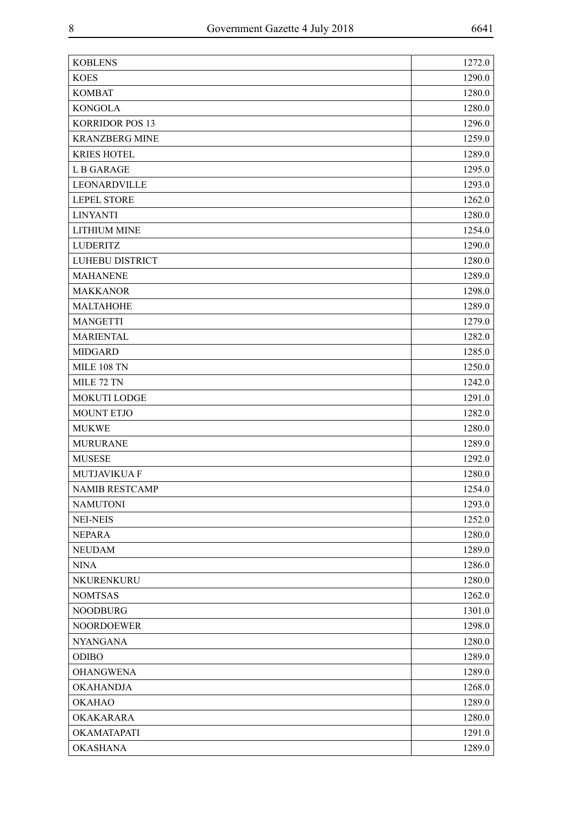| <b>KOBLENS</b>         | 1272.0 |
|------------------------|--------|
| <b>KOES</b>            | 1290.0 |
| <b>KOMBAT</b>          | 1280.0 |
| <b>KONGOLA</b>         | 1280.0 |
| <b>KORRIDOR POS 13</b> | 1296.0 |
| <b>KRANZBERG MINE</b>  | 1259.0 |
| <b>KRIES HOTEL</b>     | 1289.0 |
| <b>LB GARAGE</b>       | 1295.0 |
| LEONARDVILLE           | 1293.0 |
| <b>LEPEL STORE</b>     | 1262.0 |
| <b>LINYANTI</b>        | 1280.0 |
| <b>LITHIUM MINE</b>    | 1254.0 |
| <b>LUDERITZ</b>        | 1290.0 |
| <b>LUHEBU DISTRICT</b> | 1280.0 |
| <b>MAHANENE</b>        | 1289.0 |
| <b>MAKKANOR</b>        | 1298.0 |
| <b>MALTAHOHE</b>       | 1289.0 |
| <b>MANGETTI</b>        | 1279.0 |
| <b>MARIENTAL</b>       | 1282.0 |
| <b>MIDGARD</b>         | 1285.0 |
| MILE 108 TN            | 1250.0 |
| MILE 72 TN             | 1242.0 |
| <b>MOKUTI LODGE</b>    | 1291.0 |
| <b>MOUNT ETJO</b>      | 1282.0 |
| <b>MUKWE</b>           | 1280.0 |
| <b>MURURANE</b>        | 1289.0 |
| <b>MUSESE</b>          | 1292.0 |
| <b>MUTJAVIKUA F</b>    | 1280.0 |
| <b>NAMIB RESTCAMP</b>  | 1254.0 |
| <b>NAMUTONI</b>        | 1293.0 |
| <b>NEI-NEIS</b>        | 1252.0 |
| <b>NEPARA</b>          | 1280.0 |
| <b>NEUDAM</b>          | 1289.0 |
| <b>NINA</b>            | 1286.0 |
| NKURENKURU             | 1280.0 |
| <b>NOMTSAS</b>         | 1262.0 |
| <b>NOODBURG</b>        | 1301.0 |
| <b>NOORDOEWER</b>      | 1298.0 |
| <b>NYANGANA</b>        | 1280.0 |
| <b>ODIBO</b>           | 1289.0 |
| <b>OHANGWENA</b>       | 1289.0 |
| <b>OKAHANDJA</b>       | 1268.0 |
| <b>OKAHAO</b>          | 1289.0 |
| OKAKARARA              | 1280.0 |
| OKAMATAPATI            | 1291.0 |
| <b>OKASHANA</b>        | 1289.0 |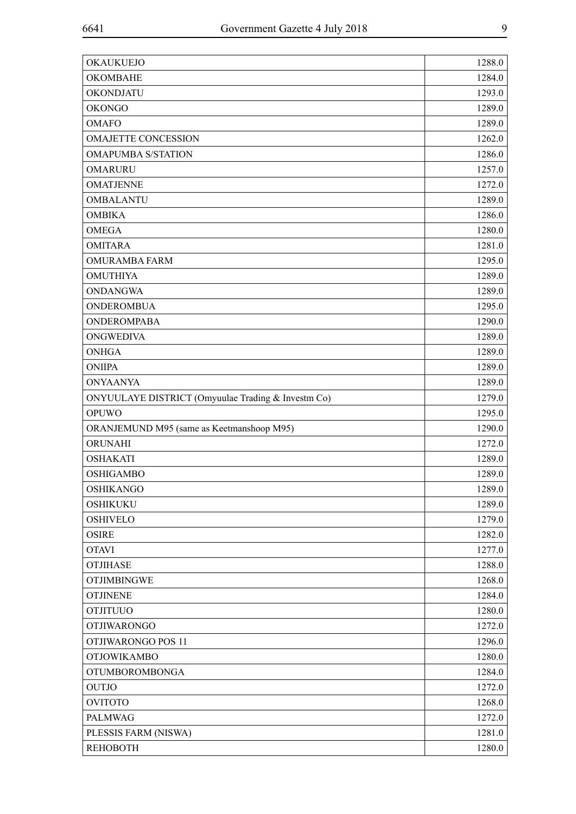| <b>OKAUKUEJO</b>                                   | 1288.0 |
|----------------------------------------------------|--------|
| <b>OKOMBAHE</b>                                    | 1284.0 |
| OKONDJATU                                          | 1293.0 |
| <b>OKONGO</b>                                      | 1289.0 |
| <b>OMAFO</b>                                       | 1289.0 |
| <b>OMAJETTE CONCESSION</b>                         | 1262.0 |
| <b>OMAPUMBA S/STATION</b>                          | 1286.0 |
| <b>OMARURU</b>                                     | 1257.0 |
| <b>OMATJENNE</b>                                   | 1272.0 |
| <b>OMBALANTU</b>                                   | 1289.0 |
| <b>OMBIKA</b>                                      | 1286.0 |
| <b>OMEGA</b>                                       | 1280.0 |
| <b>OMITARA</b>                                     | 1281.0 |
| <b>OMURAMBA FARM</b>                               | 1295.0 |
| <b>OMUTHIYA</b>                                    | 1289.0 |
| <b>ONDANGWA</b>                                    | 1289.0 |
| <b>ONDEROMBUA</b>                                  | 1295.0 |
| <b>ONDEROMPABA</b>                                 | 1290.0 |
| <b>ONGWEDIVA</b>                                   | 1289.0 |
| <b>ONHGA</b>                                       | 1289.0 |
| <b>ONIIPA</b>                                      | 1289.0 |
| <b>ONYAANYA</b>                                    | 1289.0 |
| ONYUULAYE DISTRICT (Omyuulae Trading & Investm Co) | 1279.0 |
| <b>OPUWO</b>                                       | 1295.0 |
| ORANJEMUND M95 (same as Keetmanshoop M95)          | 1290.0 |
| ORUNAHI                                            | 1272.0 |
| <b>OSHAKATI</b>                                    | 1289.0 |
| <b>OSHIGAMBO</b>                                   | 1289.0 |
| <b>OSHIKANGO</b>                                   | 1289.0 |
| <b>OSHIKUKU</b>                                    | 1289.0 |
| <b>OSHIVELO</b>                                    | 1279.0 |
| <b>OSIRE</b>                                       | 1282.0 |
| <b>OTAVI</b>                                       | 1277.0 |
| <b>OTJIHASE</b>                                    | 1288.0 |
| <b>OTJIMBINGWE</b>                                 | 1268.0 |
| <b>OTJINENE</b>                                    | 1284.0 |
| <b>OTJITUUO</b>                                    | 1280.0 |
| <b>OTJIWARONGO</b>                                 | 1272.0 |
| OTJIWARONGO POS 11                                 | 1296.0 |
| <b>OTJOWIKAMBO</b>                                 | 1280.0 |
| <b>OTUMBOROMBONGA</b>                              | 1284.0 |
| <b>OUTJO</b>                                       | 1272.0 |
| <b>OVITOTO</b>                                     | 1268.0 |
| <b>PALMWAG</b>                                     | 1272.0 |
| PLESSIS FARM (NISWA)                               | 1281.0 |
| <b>REHOBOTH</b>                                    | 1280.0 |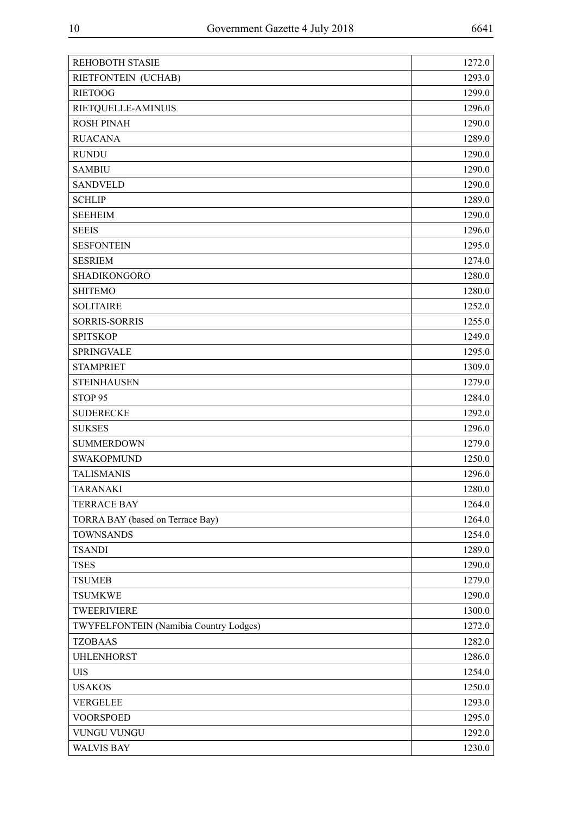| REHOBOTH STASIE                        | 1272.0 |
|----------------------------------------|--------|
| RIETFONTEIN (UCHAB)                    | 1293.0 |
| <b>RIETOOG</b>                         | 1299.0 |
| RIETQUELLE-AMINUIS                     | 1296.0 |
| <b>ROSH PINAH</b>                      | 1290.0 |
| <b>RUACANA</b>                         | 1289.0 |
| <b>RUNDU</b>                           | 1290.0 |
| <b>SAMBIU</b>                          | 1290.0 |
| <b>SANDVELD</b>                        | 1290.0 |
| <b>SCHLIP</b>                          | 1289.0 |
| <b>SEEHEIM</b>                         | 1290.0 |
| <b>SEEIS</b>                           | 1296.0 |
| <b>SESFONTEIN</b>                      | 1295.0 |
| <b>SESRIEM</b>                         | 1274.0 |
| SHADIKONGORO                           | 1280.0 |
| <b>SHITEMO</b>                         | 1280.0 |
| <b>SOLITAIRE</b>                       | 1252.0 |
| <b>SORRIS-SORRIS</b>                   | 1255.0 |
| <b>SPITSKOP</b>                        | 1249.0 |
| <b>SPRINGVALE</b>                      | 1295.0 |
| <b>STAMPRIET</b>                       | 1309.0 |
| <b>STEINHAUSEN</b>                     | 1279.0 |
| STOP <sub>95</sub>                     | 1284.0 |
| <b>SUDERECKE</b>                       | 1292.0 |
| <b>SUKSES</b>                          | 1296.0 |
| <b>SUMMERDOWN</b>                      | 1279.0 |
| <b>SWAKOPMUND</b>                      | 1250.0 |
| <b>TALISMANIS</b>                      | 1296.0 |
| <b>TARANAKI</b>                        | 1280.0 |
| <b>TERRACE BAY</b>                     | 1264.0 |
| TORRA BAY (based on Terrace Bay)       | 1264.0 |
| <b>TOWNSANDS</b>                       | 1254.0 |
| <b>TSANDI</b>                          | 1289.0 |
| <b>TSES</b>                            | 1290.0 |
| <b>TSUMEB</b>                          | 1279.0 |
| <b>TSUMKWE</b>                         | 1290.0 |
| TWEERIVIERE                            | 1300.0 |
| TWYFELFONTEIN (Namibia Country Lodges) | 1272.0 |
| <b>TZOBAAS</b>                         | 1282.0 |
| <b>UHLENHORST</b>                      | 1286.0 |
| <b>UIS</b>                             | 1254.0 |
| <b>USAKOS</b>                          | 1250.0 |
| <b>VERGELEE</b>                        | 1293.0 |
| <b>VOORSPOED</b>                       | 1295.0 |
| VUNGU VUNGU                            | 1292.0 |
| <b>WALVIS BAY</b>                      | 1230.0 |